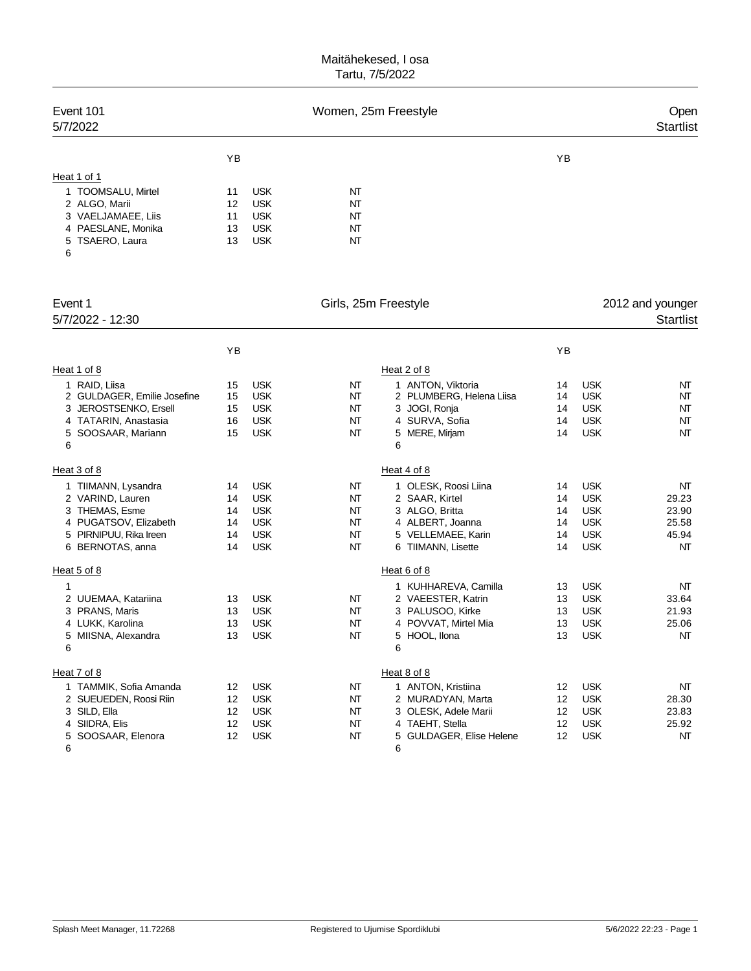| Event 101<br>5/7/2022                                                                                                            | Women, 25m Freestyle             |                                                                                  |                                  |                                                                                                                          |                                  | Open<br><b>Startlist</b>                                                         |                                              |  |
|----------------------------------------------------------------------------------------------------------------------------------|----------------------------------|----------------------------------------------------------------------------------|----------------------------------|--------------------------------------------------------------------------------------------------------------------------|----------------------------------|----------------------------------------------------------------------------------|----------------------------------------------|--|
|                                                                                                                                  | YB                               |                                                                                  |                                  |                                                                                                                          | YB                               |                                                                                  |                                              |  |
| Heat 1 of 1<br>1 TOOMSALU, Mirtel<br>2 ALGO, Marii<br>3 VAELJAMAEE, Liis<br>4 PAESLANE, Monika<br>5 TSAERO, Laura<br>6           | 11<br>12<br>11<br>13<br>13       | <b>USK</b><br><b>USK</b><br><b>USK</b><br><b>USK</b><br><b>USK</b>               | NT<br>NT<br>NT<br>NΤ<br>NΤ       |                                                                                                                          |                                  |                                                                                  |                                              |  |
| Event 1<br>5/7/2022 - 12:30                                                                                                      |                                  |                                                                                  | Girls, 25m Freestyle             |                                                                                                                          |                                  |                                                                                  | 2012 and younger<br><b>Startlist</b>         |  |
|                                                                                                                                  | ΥB                               |                                                                                  |                                  |                                                                                                                          | ΥB                               |                                                                                  |                                              |  |
| Heat 1 of 8                                                                                                                      |                                  |                                                                                  |                                  | Heat 2 of 8                                                                                                              |                                  |                                                                                  |                                              |  |
| 1 RAID, Liisa<br>2 GULDAGER, Emilie Josefine<br>3 JEROSTSENKO, Ersell<br>4 TATARIN, Anastasia<br>5 SOOSAAR, Mariann<br>6         | 15<br>15<br>15<br>16<br>15       | <b>USK</b><br><b>USK</b><br><b>USK</b><br><b>USK</b><br><b>USK</b>               | NT<br>NT<br>NT<br>NT<br>NT       | 1 ANTON, Viktoria<br>2 PLUMBERG, Helena Liisa<br>3 JOGI, Ronja<br>4 SURVA, Sofia<br>5 MERE, Mirjam<br>6                  | 14<br>14<br>14<br>14<br>14       | <b>USK</b><br><b>USK</b><br><b>USK</b><br><b>USK</b><br><b>USK</b>               | NΤ<br>NT<br>NΤ<br>NΤ<br>NT                   |  |
| Heat 3 of 8                                                                                                                      |                                  |                                                                                  |                                  | Heat 4 of 8                                                                                                              |                                  |                                                                                  |                                              |  |
| 1 TIIMANN, Lysandra<br>2 VARIND, Lauren<br>3 THEMAS, Esme<br>4 PUGATSOV, Elizabeth<br>5 PIRNIPUU, Rika Ireen<br>6 BERNOTAS, anna | 14<br>14<br>14<br>14<br>14<br>14 | <b>USK</b><br><b>USK</b><br><b>USK</b><br><b>USK</b><br><b>USK</b><br><b>USK</b> | NT<br>NT<br>NT<br>NT<br>NT<br>NT | 1 OLESK, Roosi Liina<br>2 SAAR, Kirtel<br>3 ALGO, Britta<br>4 ALBERT, Joanna<br>5 VELLEMAEE, Karin<br>6 TIIMANN, Lisette | 14<br>14<br>14<br>14<br>14<br>14 | <b>USK</b><br><b>USK</b><br><b>USK</b><br><b>USK</b><br><b>USK</b><br><b>USK</b> | NT<br>29.23<br>23.90<br>25.58<br>45.94<br>NΤ |  |
| Heat 5 of 8                                                                                                                      |                                  |                                                                                  |                                  | Heat 6 of 8                                                                                                              |                                  |                                                                                  |                                              |  |
| 1<br>2 UUEMAA, Katariina<br>3 PRANS, Maris<br>4 LUKK, Karolina<br>5 MIISNA, Alexandra<br>6                                       | 13<br>13<br>13<br>13             | <b>USK</b><br><b>USK</b><br><b>USK</b><br><b>USK</b>                             | NT<br>NT<br>NT<br>NT             | 1 KUHHAREVA, Camilla<br>2 VAEESTER, Katrin<br>3 PALUSOO, Kirke<br>4 POVVAT, Mirtel Mia<br>5 HOOL, Ilona<br>6             | 13<br>13<br>13<br>13<br>13       | <b>USK</b><br><b>USK</b><br><b>USK</b><br><b>USK</b><br><b>USK</b>               | NT<br>33.64<br>21.93<br>25.06<br>NT          |  |
| Heat 7 of 8                                                                                                                      |                                  |                                                                                  |                                  | Heat 8 of 8                                                                                                              |                                  |                                                                                  |                                              |  |
| 1 TAMMIK, Sofia Amanda<br>2 SUEUEDEN, Roosi Riin<br>3 SILD, Ella<br>4 SIIDRA, Elis<br>5 SOOSAAR, Elenora<br>6                    | 12<br>12<br>12<br>12<br>12       | <b>USK</b><br><b>USK</b><br><b>USK</b><br><b>USK</b><br><b>USK</b>               | NΤ<br>NΤ<br>NΤ<br>NΤ<br>NΤ       | 1 ANTON, Kristiina<br>2 MURADYAN, Marta<br>3 OLESK, Adele Marii<br>4 TAEHT, Stella<br>5 GULDAGER, Elise Helene<br>6      | 12<br>12<br>12<br>12<br>12       | <b>USK</b><br><b>USK</b><br><b>USK</b><br><b>USK</b><br><b>USK</b>               | NΤ<br>28.30<br>23.83<br>25.92<br>NΤ          |  |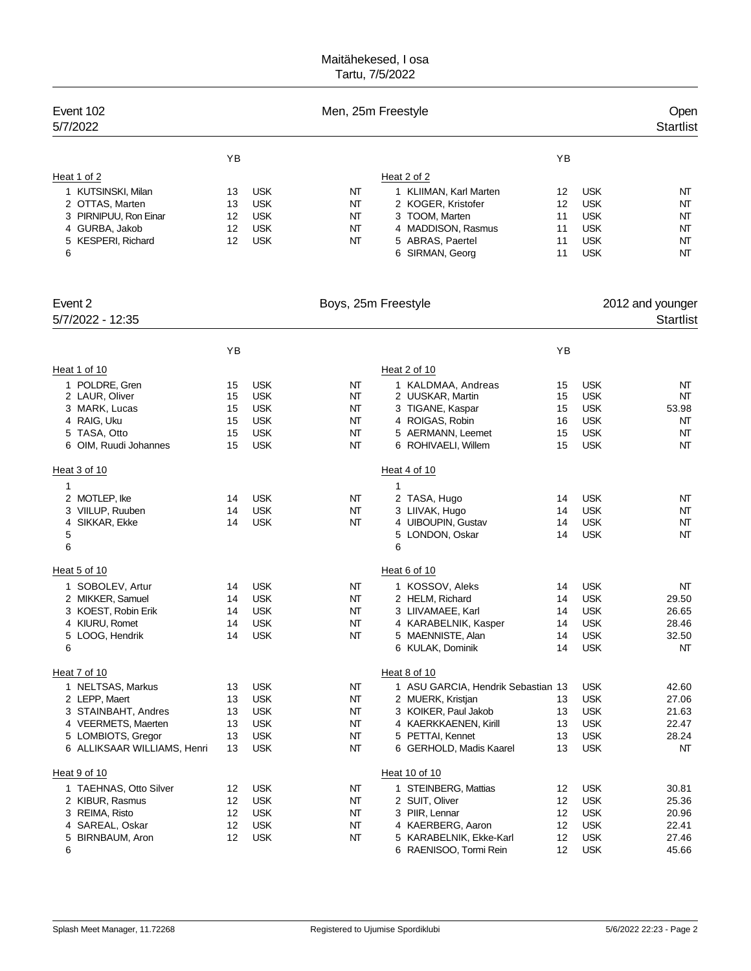| YB<br>YB<br>Heat 1 of 2<br>Heat 2 of 2<br>1 KUTSINSKI, Milan<br><b>USK</b><br><b>USK</b><br>NT<br>1 KLIIMAN, Karl Marten<br>12<br>NΤ<br>13<br>2 OTTAS, Marten<br><b>USK</b><br>2 KOGER, Kristofer<br>12<br><b>USK</b><br>13<br>NT<br>NT<br>3 PIRNIPUU, Ron Einar<br><b>USK</b><br>3 TOOM, Marten<br><b>USK</b><br>12<br>NT<br>11<br>NT<br>4 GURBA, Jakob<br><b>USK</b><br>NT<br>4 MADDISON, Rasmus<br><b>USK</b><br>12<br>11<br>NΤ<br><b>USK</b><br>5 KESPERI, Richard<br><b>USK</b><br>NΤ<br>5 ABRAS, Paertel<br>12<br>11<br>NT<br>6<br>6 SIRMAN, Georg<br><b>USK</b><br>11<br>NT<br>Event 2<br>Boys, 25m Freestyle<br>2012 and younger<br>5/7/2022 - 12:35<br><b>Startlist</b><br>YB<br>ΥB<br>Heat 2 of 10<br>Heat 1 of 10<br>1 POLDRE, Gren<br><b>USK</b><br>1 KALDMAA, Andreas<br><b>USK</b><br>15<br>NT<br>15<br>NT<br><b>USK</b><br><b>USK</b><br>2 LAUR, Oliver<br>15<br>NT<br>2 UUSKAR, Martin<br>15<br>NT<br>3 MARK, Lucas<br><b>USK</b><br>NT<br>3 TIGANE, Kaspar<br><b>USK</b><br>53.98<br>15<br>15<br>4 RAIG, Uku<br><b>USK</b><br>4 ROIGAS, Robin<br><b>USK</b><br>15<br>NT<br>NT<br>16<br>5 TASA, Otto<br><b>USK</b><br>NΤ<br>5 AERMANN, Leemet<br><b>USK</b><br>15<br>15<br>NT<br><b>USK</b><br><b>USK</b><br>6 OIM, Ruudi Johannes<br>15<br>NT<br>6 ROHIVAELI, Willem<br>15<br>NT<br>Heat 3 of 10<br>Heat 4 of 10<br>1<br>1<br>2 MOTLEP, Ike<br><b>USK</b><br>2 TASA, Hugo<br><b>USK</b><br>NT<br>NT<br>14<br>14<br>3 VIILUP, Ruuben<br><b>USK</b><br>NT<br><b>USK</b><br>14<br>3 LIIVAK, Hugo<br>14<br>NΤ<br>4 SIKKAR, Ekke<br><b>USK</b><br>NΤ<br>4 UIBOUPIN, Gustav<br><b>USK</b><br>14<br>14<br>NΤ<br>5<br>5 LONDON, Oskar<br><b>USK</b><br>14<br>NT<br>6<br>6<br>Heat 5 of 10<br>Heat 6 of 10<br><b>USK</b><br><b>USK</b><br>1 SOBOLEV, Artur<br>NT<br>1 KOSSOV, Aleks<br>NT<br>14<br>14<br>2 MIKKER, Samuel<br><b>USK</b><br>NT<br>2 HELM, Richard<br><b>USK</b><br>29.50<br>14<br>14<br>3 KOEST, Robin Erik<br><b>USK</b><br>3 LIIVAMAEE, Karl<br><b>USK</b><br>26.65<br>14<br>NT<br>14<br><b>USK</b><br>4 KIURU, Romet<br><b>USK</b><br>4 KARABELNIK, Kasper<br>28.46<br>NT<br>14<br>14<br>5 LOOG, Hendrik<br><b>USK</b><br>NΤ<br>5 MAENNISTE, Alan<br><b>USK</b><br>32.50<br>14<br>14<br>6<br>6 KULAK, Dominik<br>NT<br>14<br><b>USK</b><br>Heat 7 of 10<br>Heat 8 of 10<br>1 NELTSAS, Markus<br><b>USK</b><br>1 ASU GARCIA, Hendrik Sebastian 13<br><b>USK</b><br>13<br>NΤ<br>42.60<br>2 LEPP, Maert<br><b>USK</b><br><b>USK</b><br>13<br>NΤ<br>2 MUERK, Kristjan<br>27.06<br>13<br>3 STAINBAHT, Andres<br><b>USK</b><br>3 KOIKER, Paul Jakob<br><b>USK</b><br>21.63<br>13<br>NΤ<br>13<br>4 VEERMETS, Maerten<br><b>USK</b><br>NT<br>4 KAERKKAENEN, Kirill<br><b>USK</b><br>13<br>13<br>22.47<br>5 LOMBIOTS, Gregor<br><b>USK</b><br>NT<br>5 PETTAI, Kennet<br><b>USK</b><br>28.24<br>13<br>13<br>6 ALLIKSAAR WILLIAMS, Henri<br><b>USK</b><br>NT<br>6 GERHOLD, Madis Kaarel<br><b>USK</b><br>13<br>13<br>NΤ<br>Heat 10 of 10<br>Heat 9 of 10<br><b>USK</b><br>NT<br>1 STEINBERG, Mattias<br><b>USK</b><br>30.81<br>1 TAEHNAS, Otto Silver<br>12<br>12<br>2 KIBUR, Rasmus<br>12<br><b>USK</b><br>2 SUIT, Oliver<br>12<br><b>USK</b><br>25.36<br>NΤ<br>3 REIMA, Risto<br><b>USK</b><br>3 PIIR, Lennar<br><b>USK</b><br>12<br>NΤ<br>12<br>20.96<br>4 SAREAL, Oskar<br><b>USK</b><br>NΤ<br>4 KAERBERG, Aaron<br><b>USK</b><br>22.41<br>12<br>12<br>5 BIRNBAUM, Aron<br><b>USK</b><br>NΤ<br>5 KARABELNIK, Ekke-Karl<br>12<br><b>USK</b><br>27.46<br>12<br>6<br>6 RAENISOO, Tormi Rein<br><b>USK</b><br>12<br>45.66 | Event 102<br>5/7/2022 |  | Men, 25m Freestyle |  | Open<br><b>Startlist</b> |
|------------------------------------------------------------------------------------------------------------------------------------------------------------------------------------------------------------------------------------------------------------------------------------------------------------------------------------------------------------------------------------------------------------------------------------------------------------------------------------------------------------------------------------------------------------------------------------------------------------------------------------------------------------------------------------------------------------------------------------------------------------------------------------------------------------------------------------------------------------------------------------------------------------------------------------------------------------------------------------------------------------------------------------------------------------------------------------------------------------------------------------------------------------------------------------------------------------------------------------------------------------------------------------------------------------------------------------------------------------------------------------------------------------------------------------------------------------------------------------------------------------------------------------------------------------------------------------------------------------------------------------------------------------------------------------------------------------------------------------------------------------------------------------------------------------------------------------------------------------------------------------------------------------------------------------------------------------------------------------------------------------------------------------------------------------------------------------------------------------------------------------------------------------------------------------------------------------------------------------------------------------------------------------------------------------------------------------------------------------------------------------------------------------------------------------------------------------------------------------------------------------------------------------------------------------------------------------------------------------------------------------------------------------------------------------------------------------------------------------------------------------------------------------------------------------------------------------------------------------------------------------------------------------------------------------------------------------------------------------------------------------------------------------------------------------------------------------------------------------------------------------------------------------------------------------------------------------------------------------------------------------------------------------------------------------------------------------------------------------------------------------------------------------------------------------------------------------------------------------------------------------------------------------------|-----------------------|--|--------------------|--|--------------------------|
|                                                                                                                                                                                                                                                                                                                                                                                                                                                                                                                                                                                                                                                                                                                                                                                                                                                                                                                                                                                                                                                                                                                                                                                                                                                                                                                                                                                                                                                                                                                                                                                                                                                                                                                                                                                                                                                                                                                                                                                                                                                                                                                                                                                                                                                                                                                                                                                                                                                                                                                                                                                                                                                                                                                                                                                                                                                                                                                                                                                                                                                                                                                                                                                                                                                                                                                                                                                                                                                                                                                                          |                       |  |                    |  |                          |
|                                                                                                                                                                                                                                                                                                                                                                                                                                                                                                                                                                                                                                                                                                                                                                                                                                                                                                                                                                                                                                                                                                                                                                                                                                                                                                                                                                                                                                                                                                                                                                                                                                                                                                                                                                                                                                                                                                                                                                                                                                                                                                                                                                                                                                                                                                                                                                                                                                                                                                                                                                                                                                                                                                                                                                                                                                                                                                                                                                                                                                                                                                                                                                                                                                                                                                                                                                                                                                                                                                                                          |                       |  |                    |  |                          |
|                                                                                                                                                                                                                                                                                                                                                                                                                                                                                                                                                                                                                                                                                                                                                                                                                                                                                                                                                                                                                                                                                                                                                                                                                                                                                                                                                                                                                                                                                                                                                                                                                                                                                                                                                                                                                                                                                                                                                                                                                                                                                                                                                                                                                                                                                                                                                                                                                                                                                                                                                                                                                                                                                                                                                                                                                                                                                                                                                                                                                                                                                                                                                                                                                                                                                                                                                                                                                                                                                                                                          |                       |  |                    |  |                          |
|                                                                                                                                                                                                                                                                                                                                                                                                                                                                                                                                                                                                                                                                                                                                                                                                                                                                                                                                                                                                                                                                                                                                                                                                                                                                                                                                                                                                                                                                                                                                                                                                                                                                                                                                                                                                                                                                                                                                                                                                                                                                                                                                                                                                                                                                                                                                                                                                                                                                                                                                                                                                                                                                                                                                                                                                                                                                                                                                                                                                                                                                                                                                                                                                                                                                                                                                                                                                                                                                                                                                          |                       |  |                    |  |                          |
|                                                                                                                                                                                                                                                                                                                                                                                                                                                                                                                                                                                                                                                                                                                                                                                                                                                                                                                                                                                                                                                                                                                                                                                                                                                                                                                                                                                                                                                                                                                                                                                                                                                                                                                                                                                                                                                                                                                                                                                                                                                                                                                                                                                                                                                                                                                                                                                                                                                                                                                                                                                                                                                                                                                                                                                                                                                                                                                                                                                                                                                                                                                                                                                                                                                                                                                                                                                                                                                                                                                                          |                       |  |                    |  |                          |
|                                                                                                                                                                                                                                                                                                                                                                                                                                                                                                                                                                                                                                                                                                                                                                                                                                                                                                                                                                                                                                                                                                                                                                                                                                                                                                                                                                                                                                                                                                                                                                                                                                                                                                                                                                                                                                                                                                                                                                                                                                                                                                                                                                                                                                                                                                                                                                                                                                                                                                                                                                                                                                                                                                                                                                                                                                                                                                                                                                                                                                                                                                                                                                                                                                                                                                                                                                                                                                                                                                                                          |                       |  |                    |  |                          |
|                                                                                                                                                                                                                                                                                                                                                                                                                                                                                                                                                                                                                                                                                                                                                                                                                                                                                                                                                                                                                                                                                                                                                                                                                                                                                                                                                                                                                                                                                                                                                                                                                                                                                                                                                                                                                                                                                                                                                                                                                                                                                                                                                                                                                                                                                                                                                                                                                                                                                                                                                                                                                                                                                                                                                                                                                                                                                                                                                                                                                                                                                                                                                                                                                                                                                                                                                                                                                                                                                                                                          |                       |  |                    |  |                          |
|                                                                                                                                                                                                                                                                                                                                                                                                                                                                                                                                                                                                                                                                                                                                                                                                                                                                                                                                                                                                                                                                                                                                                                                                                                                                                                                                                                                                                                                                                                                                                                                                                                                                                                                                                                                                                                                                                                                                                                                                                                                                                                                                                                                                                                                                                                                                                                                                                                                                                                                                                                                                                                                                                                                                                                                                                                                                                                                                                                                                                                                                                                                                                                                                                                                                                                                                                                                                                                                                                                                                          |                       |  |                    |  |                          |
|                                                                                                                                                                                                                                                                                                                                                                                                                                                                                                                                                                                                                                                                                                                                                                                                                                                                                                                                                                                                                                                                                                                                                                                                                                                                                                                                                                                                                                                                                                                                                                                                                                                                                                                                                                                                                                                                                                                                                                                                                                                                                                                                                                                                                                                                                                                                                                                                                                                                                                                                                                                                                                                                                                                                                                                                                                                                                                                                                                                                                                                                                                                                                                                                                                                                                                                                                                                                                                                                                                                                          |                       |  |                    |  |                          |
|                                                                                                                                                                                                                                                                                                                                                                                                                                                                                                                                                                                                                                                                                                                                                                                                                                                                                                                                                                                                                                                                                                                                                                                                                                                                                                                                                                                                                                                                                                                                                                                                                                                                                                                                                                                                                                                                                                                                                                                                                                                                                                                                                                                                                                                                                                                                                                                                                                                                                                                                                                                                                                                                                                                                                                                                                                                                                                                                                                                                                                                                                                                                                                                                                                                                                                                                                                                                                                                                                                                                          |                       |  |                    |  |                          |
|                                                                                                                                                                                                                                                                                                                                                                                                                                                                                                                                                                                                                                                                                                                                                                                                                                                                                                                                                                                                                                                                                                                                                                                                                                                                                                                                                                                                                                                                                                                                                                                                                                                                                                                                                                                                                                                                                                                                                                                                                                                                                                                                                                                                                                                                                                                                                                                                                                                                                                                                                                                                                                                                                                                                                                                                                                                                                                                                                                                                                                                                                                                                                                                                                                                                                                                                                                                                                                                                                                                                          |                       |  |                    |  |                          |
|                                                                                                                                                                                                                                                                                                                                                                                                                                                                                                                                                                                                                                                                                                                                                                                                                                                                                                                                                                                                                                                                                                                                                                                                                                                                                                                                                                                                                                                                                                                                                                                                                                                                                                                                                                                                                                                                                                                                                                                                                                                                                                                                                                                                                                                                                                                                                                                                                                                                                                                                                                                                                                                                                                                                                                                                                                                                                                                                                                                                                                                                                                                                                                                                                                                                                                                                                                                                                                                                                                                                          |                       |  |                    |  |                          |
|                                                                                                                                                                                                                                                                                                                                                                                                                                                                                                                                                                                                                                                                                                                                                                                                                                                                                                                                                                                                                                                                                                                                                                                                                                                                                                                                                                                                                                                                                                                                                                                                                                                                                                                                                                                                                                                                                                                                                                                                                                                                                                                                                                                                                                                                                                                                                                                                                                                                                                                                                                                                                                                                                                                                                                                                                                                                                                                                                                                                                                                                                                                                                                                                                                                                                                                                                                                                                                                                                                                                          |                       |  |                    |  |                          |
|                                                                                                                                                                                                                                                                                                                                                                                                                                                                                                                                                                                                                                                                                                                                                                                                                                                                                                                                                                                                                                                                                                                                                                                                                                                                                                                                                                                                                                                                                                                                                                                                                                                                                                                                                                                                                                                                                                                                                                                                                                                                                                                                                                                                                                                                                                                                                                                                                                                                                                                                                                                                                                                                                                                                                                                                                                                                                                                                                                                                                                                                                                                                                                                                                                                                                                                                                                                                                                                                                                                                          |                       |  |                    |  |                          |
|                                                                                                                                                                                                                                                                                                                                                                                                                                                                                                                                                                                                                                                                                                                                                                                                                                                                                                                                                                                                                                                                                                                                                                                                                                                                                                                                                                                                                                                                                                                                                                                                                                                                                                                                                                                                                                                                                                                                                                                                                                                                                                                                                                                                                                                                                                                                                                                                                                                                                                                                                                                                                                                                                                                                                                                                                                                                                                                                                                                                                                                                                                                                                                                                                                                                                                                                                                                                                                                                                                                                          |                       |  |                    |  |                          |
|                                                                                                                                                                                                                                                                                                                                                                                                                                                                                                                                                                                                                                                                                                                                                                                                                                                                                                                                                                                                                                                                                                                                                                                                                                                                                                                                                                                                                                                                                                                                                                                                                                                                                                                                                                                                                                                                                                                                                                                                                                                                                                                                                                                                                                                                                                                                                                                                                                                                                                                                                                                                                                                                                                                                                                                                                                                                                                                                                                                                                                                                                                                                                                                                                                                                                                                                                                                                                                                                                                                                          |                       |  |                    |  |                          |
|                                                                                                                                                                                                                                                                                                                                                                                                                                                                                                                                                                                                                                                                                                                                                                                                                                                                                                                                                                                                                                                                                                                                                                                                                                                                                                                                                                                                                                                                                                                                                                                                                                                                                                                                                                                                                                                                                                                                                                                                                                                                                                                                                                                                                                                                                                                                                                                                                                                                                                                                                                                                                                                                                                                                                                                                                                                                                                                                                                                                                                                                                                                                                                                                                                                                                                                                                                                                                                                                                                                                          |                       |  |                    |  |                          |
|                                                                                                                                                                                                                                                                                                                                                                                                                                                                                                                                                                                                                                                                                                                                                                                                                                                                                                                                                                                                                                                                                                                                                                                                                                                                                                                                                                                                                                                                                                                                                                                                                                                                                                                                                                                                                                                                                                                                                                                                                                                                                                                                                                                                                                                                                                                                                                                                                                                                                                                                                                                                                                                                                                                                                                                                                                                                                                                                                                                                                                                                                                                                                                                                                                                                                                                                                                                                                                                                                                                                          |                       |  |                    |  |                          |
|                                                                                                                                                                                                                                                                                                                                                                                                                                                                                                                                                                                                                                                                                                                                                                                                                                                                                                                                                                                                                                                                                                                                                                                                                                                                                                                                                                                                                                                                                                                                                                                                                                                                                                                                                                                                                                                                                                                                                                                                                                                                                                                                                                                                                                                                                                                                                                                                                                                                                                                                                                                                                                                                                                                                                                                                                                                                                                                                                                                                                                                                                                                                                                                                                                                                                                                                                                                                                                                                                                                                          |                       |  |                    |  |                          |
|                                                                                                                                                                                                                                                                                                                                                                                                                                                                                                                                                                                                                                                                                                                                                                                                                                                                                                                                                                                                                                                                                                                                                                                                                                                                                                                                                                                                                                                                                                                                                                                                                                                                                                                                                                                                                                                                                                                                                                                                                                                                                                                                                                                                                                                                                                                                                                                                                                                                                                                                                                                                                                                                                                                                                                                                                                                                                                                                                                                                                                                                                                                                                                                                                                                                                                                                                                                                                                                                                                                                          |                       |  |                    |  |                          |
|                                                                                                                                                                                                                                                                                                                                                                                                                                                                                                                                                                                                                                                                                                                                                                                                                                                                                                                                                                                                                                                                                                                                                                                                                                                                                                                                                                                                                                                                                                                                                                                                                                                                                                                                                                                                                                                                                                                                                                                                                                                                                                                                                                                                                                                                                                                                                                                                                                                                                                                                                                                                                                                                                                                                                                                                                                                                                                                                                                                                                                                                                                                                                                                                                                                                                                                                                                                                                                                                                                                                          |                       |  |                    |  |                          |
|                                                                                                                                                                                                                                                                                                                                                                                                                                                                                                                                                                                                                                                                                                                                                                                                                                                                                                                                                                                                                                                                                                                                                                                                                                                                                                                                                                                                                                                                                                                                                                                                                                                                                                                                                                                                                                                                                                                                                                                                                                                                                                                                                                                                                                                                                                                                                                                                                                                                                                                                                                                                                                                                                                                                                                                                                                                                                                                                                                                                                                                                                                                                                                                                                                                                                                                                                                                                                                                                                                                                          |                       |  |                    |  |                          |
|                                                                                                                                                                                                                                                                                                                                                                                                                                                                                                                                                                                                                                                                                                                                                                                                                                                                                                                                                                                                                                                                                                                                                                                                                                                                                                                                                                                                                                                                                                                                                                                                                                                                                                                                                                                                                                                                                                                                                                                                                                                                                                                                                                                                                                                                                                                                                                                                                                                                                                                                                                                                                                                                                                                                                                                                                                                                                                                                                                                                                                                                                                                                                                                                                                                                                                                                                                                                                                                                                                                                          |                       |  |                    |  |                          |
|                                                                                                                                                                                                                                                                                                                                                                                                                                                                                                                                                                                                                                                                                                                                                                                                                                                                                                                                                                                                                                                                                                                                                                                                                                                                                                                                                                                                                                                                                                                                                                                                                                                                                                                                                                                                                                                                                                                                                                                                                                                                                                                                                                                                                                                                                                                                                                                                                                                                                                                                                                                                                                                                                                                                                                                                                                                                                                                                                                                                                                                                                                                                                                                                                                                                                                                                                                                                                                                                                                                                          |                       |  |                    |  |                          |
|                                                                                                                                                                                                                                                                                                                                                                                                                                                                                                                                                                                                                                                                                                                                                                                                                                                                                                                                                                                                                                                                                                                                                                                                                                                                                                                                                                                                                                                                                                                                                                                                                                                                                                                                                                                                                                                                                                                                                                                                                                                                                                                                                                                                                                                                                                                                                                                                                                                                                                                                                                                                                                                                                                                                                                                                                                                                                                                                                                                                                                                                                                                                                                                                                                                                                                                                                                                                                                                                                                                                          |                       |  |                    |  |                          |
|                                                                                                                                                                                                                                                                                                                                                                                                                                                                                                                                                                                                                                                                                                                                                                                                                                                                                                                                                                                                                                                                                                                                                                                                                                                                                                                                                                                                                                                                                                                                                                                                                                                                                                                                                                                                                                                                                                                                                                                                                                                                                                                                                                                                                                                                                                                                                                                                                                                                                                                                                                                                                                                                                                                                                                                                                                                                                                                                                                                                                                                                                                                                                                                                                                                                                                                                                                                                                                                                                                                                          |                       |  |                    |  |                          |
|                                                                                                                                                                                                                                                                                                                                                                                                                                                                                                                                                                                                                                                                                                                                                                                                                                                                                                                                                                                                                                                                                                                                                                                                                                                                                                                                                                                                                                                                                                                                                                                                                                                                                                                                                                                                                                                                                                                                                                                                                                                                                                                                                                                                                                                                                                                                                                                                                                                                                                                                                                                                                                                                                                                                                                                                                                                                                                                                                                                                                                                                                                                                                                                                                                                                                                                                                                                                                                                                                                                                          |                       |  |                    |  |                          |
|                                                                                                                                                                                                                                                                                                                                                                                                                                                                                                                                                                                                                                                                                                                                                                                                                                                                                                                                                                                                                                                                                                                                                                                                                                                                                                                                                                                                                                                                                                                                                                                                                                                                                                                                                                                                                                                                                                                                                                                                                                                                                                                                                                                                                                                                                                                                                                                                                                                                                                                                                                                                                                                                                                                                                                                                                                                                                                                                                                                                                                                                                                                                                                                                                                                                                                                                                                                                                                                                                                                                          |                       |  |                    |  |                          |
|                                                                                                                                                                                                                                                                                                                                                                                                                                                                                                                                                                                                                                                                                                                                                                                                                                                                                                                                                                                                                                                                                                                                                                                                                                                                                                                                                                                                                                                                                                                                                                                                                                                                                                                                                                                                                                                                                                                                                                                                                                                                                                                                                                                                                                                                                                                                                                                                                                                                                                                                                                                                                                                                                                                                                                                                                                                                                                                                                                                                                                                                                                                                                                                                                                                                                                                                                                                                                                                                                                                                          |                       |  |                    |  |                          |
|                                                                                                                                                                                                                                                                                                                                                                                                                                                                                                                                                                                                                                                                                                                                                                                                                                                                                                                                                                                                                                                                                                                                                                                                                                                                                                                                                                                                                                                                                                                                                                                                                                                                                                                                                                                                                                                                                                                                                                                                                                                                                                                                                                                                                                                                                                                                                                                                                                                                                                                                                                                                                                                                                                                                                                                                                                                                                                                                                                                                                                                                                                                                                                                                                                                                                                                                                                                                                                                                                                                                          |                       |  |                    |  |                          |
|                                                                                                                                                                                                                                                                                                                                                                                                                                                                                                                                                                                                                                                                                                                                                                                                                                                                                                                                                                                                                                                                                                                                                                                                                                                                                                                                                                                                                                                                                                                                                                                                                                                                                                                                                                                                                                                                                                                                                                                                                                                                                                                                                                                                                                                                                                                                                                                                                                                                                                                                                                                                                                                                                                                                                                                                                                                                                                                                                                                                                                                                                                                                                                                                                                                                                                                                                                                                                                                                                                                                          |                       |  |                    |  |                          |
|                                                                                                                                                                                                                                                                                                                                                                                                                                                                                                                                                                                                                                                                                                                                                                                                                                                                                                                                                                                                                                                                                                                                                                                                                                                                                                                                                                                                                                                                                                                                                                                                                                                                                                                                                                                                                                                                                                                                                                                                                                                                                                                                                                                                                                                                                                                                                                                                                                                                                                                                                                                                                                                                                                                                                                                                                                                                                                                                                                                                                                                                                                                                                                                                                                                                                                                                                                                                                                                                                                                                          |                       |  |                    |  |                          |
|                                                                                                                                                                                                                                                                                                                                                                                                                                                                                                                                                                                                                                                                                                                                                                                                                                                                                                                                                                                                                                                                                                                                                                                                                                                                                                                                                                                                                                                                                                                                                                                                                                                                                                                                                                                                                                                                                                                                                                                                                                                                                                                                                                                                                                                                                                                                                                                                                                                                                                                                                                                                                                                                                                                                                                                                                                                                                                                                                                                                                                                                                                                                                                                                                                                                                                                                                                                                                                                                                                                                          |                       |  |                    |  |                          |
|                                                                                                                                                                                                                                                                                                                                                                                                                                                                                                                                                                                                                                                                                                                                                                                                                                                                                                                                                                                                                                                                                                                                                                                                                                                                                                                                                                                                                                                                                                                                                                                                                                                                                                                                                                                                                                                                                                                                                                                                                                                                                                                                                                                                                                                                                                                                                                                                                                                                                                                                                                                                                                                                                                                                                                                                                                                                                                                                                                                                                                                                                                                                                                                                                                                                                                                                                                                                                                                                                                                                          |                       |  |                    |  |                          |
|                                                                                                                                                                                                                                                                                                                                                                                                                                                                                                                                                                                                                                                                                                                                                                                                                                                                                                                                                                                                                                                                                                                                                                                                                                                                                                                                                                                                                                                                                                                                                                                                                                                                                                                                                                                                                                                                                                                                                                                                                                                                                                                                                                                                                                                                                                                                                                                                                                                                                                                                                                                                                                                                                                                                                                                                                                                                                                                                                                                                                                                                                                                                                                                                                                                                                                                                                                                                                                                                                                                                          |                       |  |                    |  |                          |
|                                                                                                                                                                                                                                                                                                                                                                                                                                                                                                                                                                                                                                                                                                                                                                                                                                                                                                                                                                                                                                                                                                                                                                                                                                                                                                                                                                                                                                                                                                                                                                                                                                                                                                                                                                                                                                                                                                                                                                                                                                                                                                                                                                                                                                                                                                                                                                                                                                                                                                                                                                                                                                                                                                                                                                                                                                                                                                                                                                                                                                                                                                                                                                                                                                                                                                                                                                                                                                                                                                                                          |                       |  |                    |  |                          |
|                                                                                                                                                                                                                                                                                                                                                                                                                                                                                                                                                                                                                                                                                                                                                                                                                                                                                                                                                                                                                                                                                                                                                                                                                                                                                                                                                                                                                                                                                                                                                                                                                                                                                                                                                                                                                                                                                                                                                                                                                                                                                                                                                                                                                                                                                                                                                                                                                                                                                                                                                                                                                                                                                                                                                                                                                                                                                                                                                                                                                                                                                                                                                                                                                                                                                                                                                                                                                                                                                                                                          |                       |  |                    |  |                          |
|                                                                                                                                                                                                                                                                                                                                                                                                                                                                                                                                                                                                                                                                                                                                                                                                                                                                                                                                                                                                                                                                                                                                                                                                                                                                                                                                                                                                                                                                                                                                                                                                                                                                                                                                                                                                                                                                                                                                                                                                                                                                                                                                                                                                                                                                                                                                                                                                                                                                                                                                                                                                                                                                                                                                                                                                                                                                                                                                                                                                                                                                                                                                                                                                                                                                                                                                                                                                                                                                                                                                          |                       |  |                    |  |                          |
|                                                                                                                                                                                                                                                                                                                                                                                                                                                                                                                                                                                                                                                                                                                                                                                                                                                                                                                                                                                                                                                                                                                                                                                                                                                                                                                                                                                                                                                                                                                                                                                                                                                                                                                                                                                                                                                                                                                                                                                                                                                                                                                                                                                                                                                                                                                                                                                                                                                                                                                                                                                                                                                                                                                                                                                                                                                                                                                                                                                                                                                                                                                                                                                                                                                                                                                                                                                                                                                                                                                                          |                       |  |                    |  |                          |
|                                                                                                                                                                                                                                                                                                                                                                                                                                                                                                                                                                                                                                                                                                                                                                                                                                                                                                                                                                                                                                                                                                                                                                                                                                                                                                                                                                                                                                                                                                                                                                                                                                                                                                                                                                                                                                                                                                                                                                                                                                                                                                                                                                                                                                                                                                                                                                                                                                                                                                                                                                                                                                                                                                                                                                                                                                                                                                                                                                                                                                                                                                                                                                                                                                                                                                                                                                                                                                                                                                                                          |                       |  |                    |  |                          |
|                                                                                                                                                                                                                                                                                                                                                                                                                                                                                                                                                                                                                                                                                                                                                                                                                                                                                                                                                                                                                                                                                                                                                                                                                                                                                                                                                                                                                                                                                                                                                                                                                                                                                                                                                                                                                                                                                                                                                                                                                                                                                                                                                                                                                                                                                                                                                                                                                                                                                                                                                                                                                                                                                                                                                                                                                                                                                                                                                                                                                                                                                                                                                                                                                                                                                                                                                                                                                                                                                                                                          |                       |  |                    |  |                          |
|                                                                                                                                                                                                                                                                                                                                                                                                                                                                                                                                                                                                                                                                                                                                                                                                                                                                                                                                                                                                                                                                                                                                                                                                                                                                                                                                                                                                                                                                                                                                                                                                                                                                                                                                                                                                                                                                                                                                                                                                                                                                                                                                                                                                                                                                                                                                                                                                                                                                                                                                                                                                                                                                                                                                                                                                                                                                                                                                                                                                                                                                                                                                                                                                                                                                                                                                                                                                                                                                                                                                          |                       |  |                    |  |                          |
|                                                                                                                                                                                                                                                                                                                                                                                                                                                                                                                                                                                                                                                                                                                                                                                                                                                                                                                                                                                                                                                                                                                                                                                                                                                                                                                                                                                                                                                                                                                                                                                                                                                                                                                                                                                                                                                                                                                                                                                                                                                                                                                                                                                                                                                                                                                                                                                                                                                                                                                                                                                                                                                                                                                                                                                                                                                                                                                                                                                                                                                                                                                                                                                                                                                                                                                                                                                                                                                                                                                                          |                       |  |                    |  |                          |
|                                                                                                                                                                                                                                                                                                                                                                                                                                                                                                                                                                                                                                                                                                                                                                                                                                                                                                                                                                                                                                                                                                                                                                                                                                                                                                                                                                                                                                                                                                                                                                                                                                                                                                                                                                                                                                                                                                                                                                                                                                                                                                                                                                                                                                                                                                                                                                                                                                                                                                                                                                                                                                                                                                                                                                                                                                                                                                                                                                                                                                                                                                                                                                                                                                                                                                                                                                                                                                                                                                                                          |                       |  |                    |  |                          |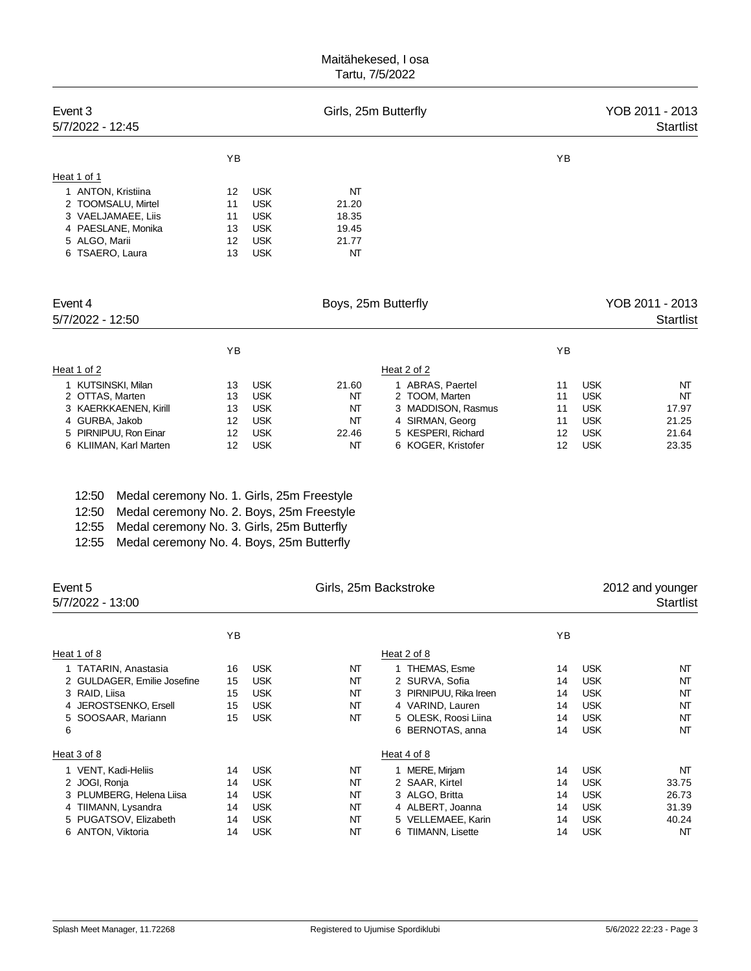| Event 3<br>5/7/2022 - 12:45                                                                                                    |                                  |                                                                                  | Girls, 25m Butterfly                         |                                                                                                      |                            |                                                                    | YOB 2011 - 2013<br><b>Startlist</b> |
|--------------------------------------------------------------------------------------------------------------------------------|----------------------------------|----------------------------------------------------------------------------------|----------------------------------------------|------------------------------------------------------------------------------------------------------|----------------------------|--------------------------------------------------------------------|-------------------------------------|
|                                                                                                                                | YB                               |                                                                                  |                                              |                                                                                                      | YB                         |                                                                    |                                     |
| Heat 1 of 1                                                                                                                    |                                  |                                                                                  |                                              |                                                                                                      |                            |                                                                    |                                     |
| ANTON, Kristiina<br>1<br>2 TOOMSALU, Mirtel<br>3 VAELJAMAEE, Liis<br>4 PAESLANE, Monika<br>5 ALGO, Marii<br>TSAERO, Laura<br>6 | 12<br>11<br>11<br>13<br>12<br>13 | <b>USK</b><br><b>USK</b><br><b>USK</b><br><b>USK</b><br><b>USK</b><br><b>USK</b> | NT<br>21.20<br>18.35<br>19.45<br>21.77<br>NT |                                                                                                      |                            |                                                                    |                                     |
| Event 4<br>5/7/2022 - 12:50                                                                                                    |                                  |                                                                                  | Boys, 25m Butterfly                          |                                                                                                      |                            |                                                                    | YOB 2011 - 2013<br><b>Startlist</b> |
|                                                                                                                                | YB                               |                                                                                  |                                              |                                                                                                      | YB                         |                                                                    |                                     |
| Heat 1 of 2                                                                                                                    |                                  |                                                                                  |                                              | Heat 2 of 2                                                                                          |                            |                                                                    |                                     |
| 1 KUTSINSKI, Milan<br>2 OTTAS, Marten<br><b>KAERKKAENEN, Kirill</b><br>3.<br>4 GURBA, Jakob<br>5 PIRNIPUU, Ron Einar           | 13<br>13<br>13<br>12<br>12       | <b>USK</b><br><b>USK</b><br><b>USK</b><br><b>USK</b><br><b>USK</b>               | 21.60<br>NT<br>NΤ<br>NΤ<br>22.46             | 1 ABRAS, Paertel<br>2 TOOM, Marten<br>MADDISON, Rasmus<br>3<br>4 SIRMAN, Georg<br>5 KESPERI, Richard | 11<br>11<br>11<br>11<br>12 | <b>USK</b><br><b>USK</b><br><b>USK</b><br><b>USK</b><br><b>USK</b> | NT<br>NT<br>17.97<br>21.25<br>21.64 |
| 6 KLIIMAN, Karl Marten                                                                                                         | 12                               | <b>USK</b>                                                                       | NT                                           | 6 KOGER, Kristofer                                                                                   | 12                         | <b>USK</b>                                                         | 23.35                               |

|  | 12:50 Medal ceremony No. 1. Girls, 25m Freestyle |  |  |  |  |  |
|--|--------------------------------------------------|--|--|--|--|--|
|--|--------------------------------------------------|--|--|--|--|--|

12:50 Medal ceremony No. 2. Boys, 25m Freestyle

12:55 Medal ceremony No. 3. Girls, 25m Butterfly

12:55 Medal ceremony No. 4. Boys, 25m Butterfly

| Event 5<br>5/7/2022 - 13:00 | Girls, 25m Backstroke |            |    |                        | 2012 and younger<br><b>Startlist</b> |            |       |
|-----------------------------|-----------------------|------------|----|------------------------|--------------------------------------|------------|-------|
|                             | YB                    |            |    |                        | YB                                   |            |       |
| Heat 1 of 8                 |                       |            |    | Heat 2 of 8            |                                      |            |       |
| 1 TATARIN, Anastasia        | 16                    | <b>USK</b> | NΤ | 1 THEMAS, Esme         | 14                                   | <b>USK</b> | NT    |
| 2 GULDAGER, Emilie Josefine | 15                    | <b>USK</b> | NT | 2 SURVA, Sofia         | 14                                   | <b>USK</b> | NT    |
| 3 RAID, Liisa               | 15                    | <b>USK</b> | NΤ | 3 PIRNIPUU, Rika Ireen | 14                                   | <b>USK</b> | NT    |
| 4 JEROSTSENKO, Ersell       | 15                    | <b>USK</b> | NT | 4 VARIND, Lauren       | 14                                   | <b>USK</b> | NT    |
| 5 SOOSAAR, Mariann          | 15                    | <b>USK</b> | NT | 5 OLESK, Roosi Liina   | 14                                   | <b>USK</b> | NT    |
| 6                           |                       |            |    | 6 BERNOTAS, anna       | 14                                   | <b>USK</b> | NT    |
| Heat 3 of 8                 |                       |            |    | Heat 4 of 8            |                                      |            |       |
| 1 VENT, Kadi-Heliis         | 14                    | <b>USK</b> | NT | 1 MERE, Mirjam         | 14                                   | <b>USK</b> | NT    |
| 2 JOGI, Ronja               | 14                    | <b>USK</b> | NT | 2 SAAR, Kirtel         | 14                                   | <b>USK</b> | 33.75 |
| 3 PLUMBERG, Helena Liisa    | 14                    | <b>USK</b> | NT | 3 ALGO, Britta         | 14                                   | <b>USK</b> | 26.73 |
| 4 TIIMANN, Lysandra         | 14                    | <b>USK</b> | NT | 4 ALBERT, Joanna       | 14                                   | <b>USK</b> | 31.39 |
| 5 PUGATSOV, Elizabeth       | 14                    | <b>USK</b> | NT | 5 VELLEMAEE, Karin     | 14                                   | <b>USK</b> | 40.24 |
| 6 ANTON, Viktoria           | 14                    | <b>USK</b> | NΤ | 6 TIIMANN, Lisette     | 14                                   | <b>USK</b> | NΤ    |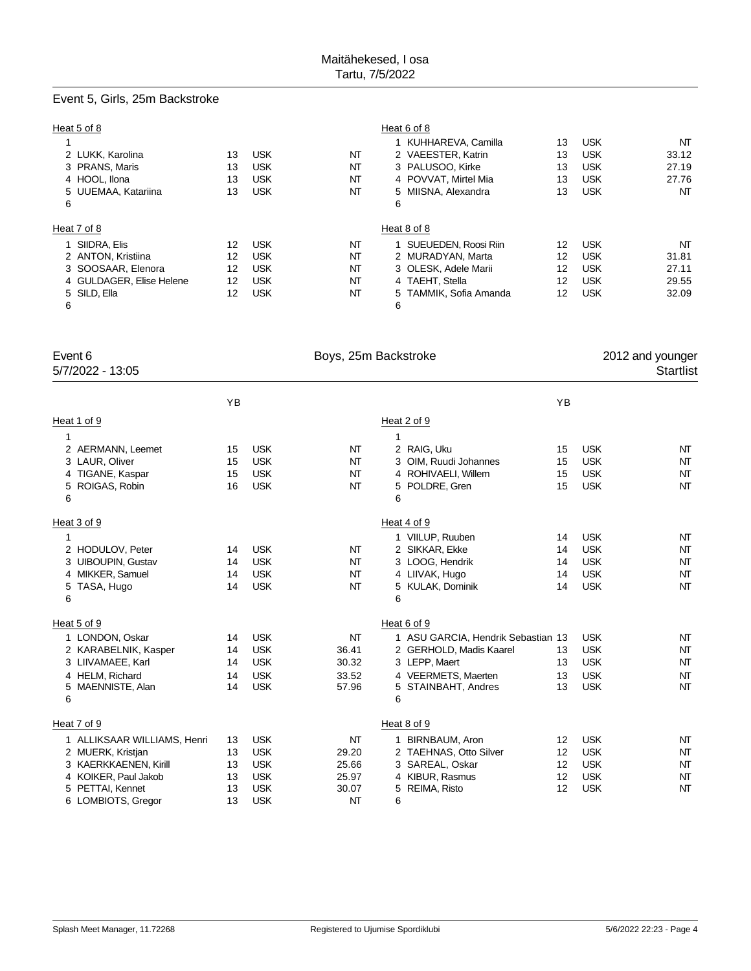# Event 5, Girls, 25m Backstroke

| Heat 5 of 8              |    |            |    | Heat 6 of 8            |    |            |       |
|--------------------------|----|------------|----|------------------------|----|------------|-------|
|                          |    |            |    | 1 KUHHAREVA, Camilla   | 13 | <b>USK</b> | NT    |
| 2 LUKK, Karolina         | 13 | <b>USK</b> | NΤ | 2 VAEESTER, Katrin     | 13 | <b>USK</b> | 33.12 |
| 3 PRANS, Maris           | 13 | <b>USK</b> | NΤ | 3 PALUSOO, Kirke       | 13 | <b>USK</b> | 27.19 |
| 4 HOOL, Ilona            | 13 | <b>USK</b> | NΤ | 4 POVVAT, Mirtel Mia   | 13 | <b>USK</b> | 27.76 |
| 5 UUEMAA, Katariina      | 13 | <b>USK</b> | NΤ | 5 MIISNA, Alexandra    | 13 | <b>USK</b> | NΤ    |
| 6                        |    |            |    | 6                      |    |            |       |
| Heat 7 of 8              |    |            |    | Heat 8 of 8            |    |            |       |
| 1 SIIDRA, Elis           | 12 | <b>USK</b> | NΤ | SUEUEDEN, Roosi Riin   | 12 | <b>USK</b> | NT    |
| 2 ANTON, Kristiina       | 12 | <b>USK</b> | NΤ | 2 MURADYAN, Marta      | 12 | <b>USK</b> | 31.81 |
| 3 SOOSAAR, Elenora       | 12 | <b>USK</b> | NΤ | 3 OLESK, Adele Marii   | 12 | <b>USK</b> | 27.11 |
| 4 GULDAGER, Elise Helene | 12 | <b>USK</b> | NΤ | 4 TAEHT, Stella        | 12 | <b>USK</b> | 29.55 |
| 5 SILD, Ella             | 12 | <b>USK</b> | NΤ | 5 TAMMIK, Sofia Amanda | 12 | <b>USK</b> | 32.09 |
| 6                        |    |            |    | 6                      |    |            |       |

| Event 6<br>5/7/2022 - 13:05 |    |            | Boys, 25m Backstroke |   |                                    |    |            | 2012 and younger<br>Startlist |
|-----------------------------|----|------------|----------------------|---|------------------------------------|----|------------|-------------------------------|
|                             | YB |            |                      |   |                                    | YB |            |                               |
| Heat 1 of 9                 |    |            |                      |   | Heat 2 of 9                        |    |            |                               |
| 1                           |    |            |                      | 1 |                                    |    |            |                               |
| 2 AERMANN, Leemet           | 15 | <b>USK</b> | NT                   |   | 2 RAIG, Uku                        | 15 | <b>USK</b> | NT                            |
| 3 LAUR, Oliver              | 15 | <b>USK</b> | NT                   |   | 3 OIM, Ruudi Johannes              | 15 | <b>USK</b> | NT                            |
| 4 TIGANE, Kaspar            | 15 | <b>USK</b> | NT                   |   | 4 ROHIVAELI, Willem                | 15 | <b>USK</b> | NT                            |
| ROIGAS, Robin<br>5          | 16 | <b>USK</b> | NT                   | 5 | POLDRE, Gren                       | 15 | <b>USK</b> | NT                            |
| 6                           |    |            |                      | 6 |                                    |    |            |                               |
| Heat 3 of 9                 |    |            |                      |   | Heat 4 of 9                        |    |            |                               |
| 1                           |    |            |                      |   | 1 VIILUP, Ruuben                   | 14 | <b>USK</b> | NT                            |
| 2 HODULOV, Peter            | 14 | <b>USK</b> | NT                   |   | 2 SIKKAR, Ekke                     | 14 | <b>USK</b> | NT                            |
| 3 UIBOUPIN, Gustav          | 14 | <b>USK</b> | NT                   |   | 3 LOOG, Hendrik                    | 14 | <b>USK</b> | NT                            |
| 4 MIKKER, Samuel            | 14 | <b>USK</b> | NT                   |   | 4 LIIVAK, Hugo                     | 14 | <b>USK</b> | NT                            |
| TASA, Hugo<br>5             | 14 | <b>USK</b> | NT                   |   | 5 KULAK, Dominik                   | 14 | <b>USK</b> | NT                            |
| 6                           |    |            |                      | 6 |                                    |    |            |                               |
| Heat 5 of 9                 |    |            |                      |   | Heat 6 of 9                        |    |            |                               |
| 1 LONDON, Oskar             | 14 | <b>USK</b> | NT                   |   | 1 ASU GARCIA, Hendrik Sebastian 13 |    | <b>USK</b> | NT                            |
| 2 KARABELNIK, Kasper        | 14 | <b>USK</b> | 36.41                |   | 2 GERHOLD, Madis Kaarel            | 13 | <b>USK</b> | NT                            |
| 3 LIIVAMAEE, Karl           | 14 | <b>USK</b> | 30.32                |   | 3 LEPP, Maert                      | 13 | <b>USK</b> | NT                            |
| 4 HELM, Richard             | 14 | <b>USK</b> | 33.52                |   | 4 VEERMETS, Maerten                | 13 | <b>USK</b> | NT                            |
| MAENNISTE, Alan<br>5        | 14 | <b>USK</b> | 57.96                |   | 5 STAINBAHT, Andres                | 13 | <b>USK</b> | NT                            |
| 6                           |    |            |                      | 6 |                                    |    |            |                               |
| Heat 7 of 9                 |    |            |                      |   | Heat 8 of 9                        |    |            |                               |
| 1 ALLIKSAAR WILLIAMS, Henri | 13 | <b>USK</b> | NT                   |   | 1 BIRNBAUM, Aron                   | 12 | <b>USK</b> | NT                            |
| 2 MUERK, Kristjan           | 13 | <b>USK</b> | 29.20                |   | 2 TAEHNAS, Otto Silver             | 12 | <b>USK</b> | NT                            |
| 3 KAERKKAENEN, Kirill       | 13 | <b>USK</b> | 25.66                |   | 3 SAREAL, Oskar                    | 12 | <b>USK</b> | NT                            |
| 4 KOIKER, Paul Jakob        | 13 | <b>USK</b> | 25.97                |   | 4 KIBUR, Rasmus                    | 12 | <b>USK</b> | NT                            |
| 5 PETTAI, Kennet            | 13 | <b>USK</b> | 30.07                |   | 5 REIMA, Risto                     | 12 | <b>USK</b> | NT                            |
| 6 LOMBIOTS, Gregor          | 13 | <b>USK</b> | NT                   | 6 |                                    |    |            |                               |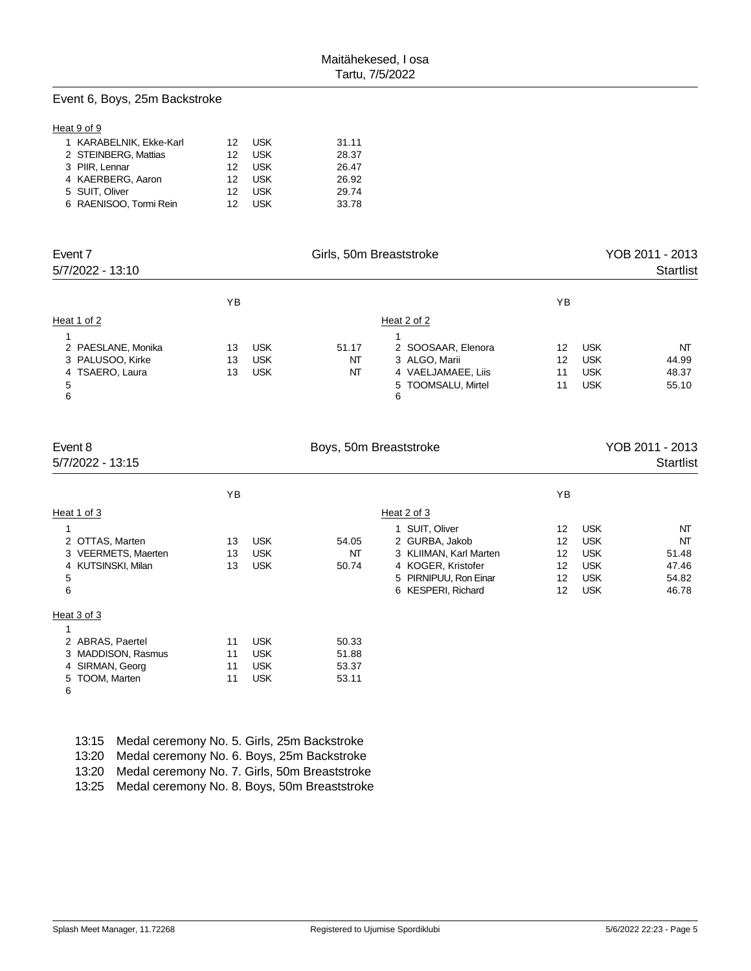### Event 6, Boys, 25m Backstroke

#### Heat 9 of 9

| 1 KARABELNIK, Ekke-Karl | 12 <sup>7</sup> | – USK      | 31.11 |
|-------------------------|-----------------|------------|-------|
| 2 STEINBERG, Mattias    | 12              | USK        | 28.37 |
| 3 PIIR. Lennar          | 12              | USK        | 26.47 |
| 4 KAERBERG, Aaron       | 12 <sup>7</sup> | USK        | 26.92 |
| 5 SUIT. Oliver          | 12 <sup>7</sup> | USK        | 29.74 |
| 6 RAENISOO, Tormi Rein  | 12              | <b>USK</b> | 33.78 |
|                         |                 |            |       |

| Event 7<br>5/7/2022 - 13:10 |    |            | Girls, 50m Breaststroke | YOB 2011 - 2013<br><b>Startlist</b> |    |            |       |
|-----------------------------|----|------------|-------------------------|-------------------------------------|----|------------|-------|
|                             | YB |            |                         |                                     | ΥB |            |       |
| Heat 1 of 2                 |    |            |                         | Heat 2 of 2                         |    |            |       |
|                             |    |            |                         |                                     |    |            |       |
| 2 PAESLANE, Monika          | 13 | <b>USK</b> | 51.17                   | 2 SOOSAAR, Elenora                  | 12 | <b>USK</b> | NT    |
| 3 PALUSOO, Kirke            | 13 | <b>USK</b> | NΤ                      | 3 ALGO, Marii                       | 12 | <b>USK</b> | 44.99 |
| 4 TSAERO, Laura             | 13 | <b>USK</b> | NT                      | 4 VAELJAMAEE, Liis                  | 11 | <b>USK</b> | 48.37 |
| 5<br>6                      |    |            |                         | 5 TOOMSALU, Mirtel<br>6             | 11 | <b>USK</b> | 55.10 |

| Event 8             |    |            | Boys, 50m Breaststroke |                        |    | YOB 2011 - 2013 |           |
|---------------------|----|------------|------------------------|------------------------|----|-----------------|-----------|
| 5/7/2022 - 13:15    |    |            |                        |                        |    |                 | Startlist |
|                     | ΥB |            |                        |                        | YB |                 |           |
| Heat 1 of 3         |    |            |                        | Heat 2 of 3            |    |                 |           |
|                     |    |            |                        | 1 SUIT, Oliver         | 12 | <b>USK</b>      | NT        |
| 2 OTTAS, Marten     | 13 | <b>USK</b> | 54.05                  | 2 GURBA, Jakob         | 12 | <b>USK</b>      | NT        |
| 3 VEERMETS, Maerten | 13 | <b>USK</b> | NT                     | 3 KLIIMAN, Karl Marten | 12 | <b>USK</b>      | 51.48     |
| 4 KUTSINSKI, Milan  | 13 | <b>USK</b> | 50.74                  | 4 KOGER, Kristofer     | 12 | <b>USK</b>      | 47.46     |
| 5                   |    |            |                        | 5 PIRNIPUU, Ron Einar  | 12 | <b>USK</b>      | 54.82     |
| 6                   |    |            |                        | 6 KESPERI, Richard     | 12 | <b>USK</b>      | 46.78     |
| Heat 3 of 3         |    |            |                        |                        |    |                 |           |
|                     |    |            |                        |                        |    |                 |           |
| 2 ABRAS, Paertel    | 11 | <b>USK</b> | 50.33                  |                        |    |                 |           |
| 3 MADDISON, Rasmus  | 11 | <b>USK</b> | 51.88                  |                        |    |                 |           |
| 4 SIRMAN, Georg     | 11 | <b>USK</b> | 53.37                  |                        |    |                 |           |
| 5 TOOM, Marten      | 11 | <b>USK</b> | 53.11                  |                        |    |                 |           |

6

|       | 13:15 Medal ceremony No. 5. Girls, 25m Backstroke   |
|-------|-----------------------------------------------------|
|       | 13:20 Medal ceremony No. 6. Boys, 25m Backstroke    |
|       | 13:20 Medal ceremony No. 7. Girls, 50m Breaststroke |
| 13:25 | Medal ceremony No. 8. Boys, 50m Breaststroke        |